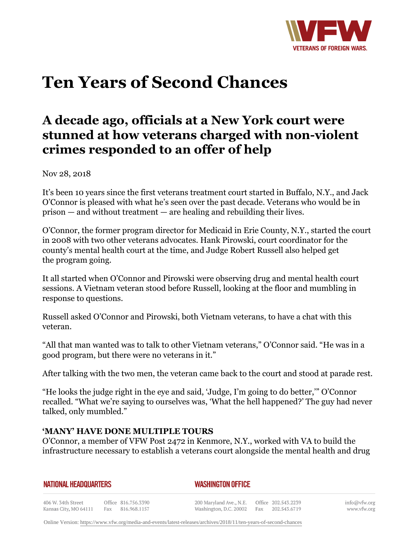

# **Ten Years of Second Chances**

# **A decade ago, officials at a New York court were stunned at how veterans charged with non-violent crimes responded to an offer of help**

Nov 28, 2018

It's been 10 years since the first veterans treatment court started in Buffalo, N.Y., and Jack O'Connor is pleased with what he's seen over the past decade. Veterans who would be in prison — and without treatment — are healing and rebuilding their lives.

O'Connor, the former program director for Medicaid in Erie County, N.Y., started the court in 2008 with two other veterans advocates. Hank Pirowski, court coordinator for the county's mental health court at the time, and Judge Robert Russell also helped get the program going.

It all started when O'Connor and Pirowski were observing drug and mental health court sessions. A Vietnam veteran stood before Russell, looking at the floor and mumbling in response to questions.

Russell asked O'Connor and Pirowski, both Vietnam veterans, to have a chat with this veteran.

"All that man wanted was to talk to other Vietnam veterans," O'Connor said. "He was in a good program, but there were no veterans in it."

After talking with the two men, the veteran came back to the court and stood at parade rest.

"He looks the judge right in the eye and said, 'Judge, I'm going to do better,'" O'Connor recalled. "What we're saying to ourselves was, 'What the hell happened?' The guy had never talked, only mumbled."

# **'MANY' HAVE DONE MULTIPLE TOURS**

O'Connor, a member of VFW Post 2472 in Kenmore, N.Y., worked with VA to build the infrastructure necessary to establish a veterans court alongside the mental health and drug

| NATIONAL HEADQUARTERS |  |
|-----------------------|--|
|-----------------------|--|

*WASHINGTON OFFICE* 

406 W. 34th Street Office 816.756.3390 Fax 816.968.1157 Kansas City, MO 64111

200 Maryland Ave., N.E. Washington, D.C. 20002 Fax

Office 202.543.2239 202.543.6719 info@vfw.org www.vfw.org

Online Version:<https://www.vfw.org/media-and-events/latest-releases/archives/2018/11/ten-years-of-second-chances>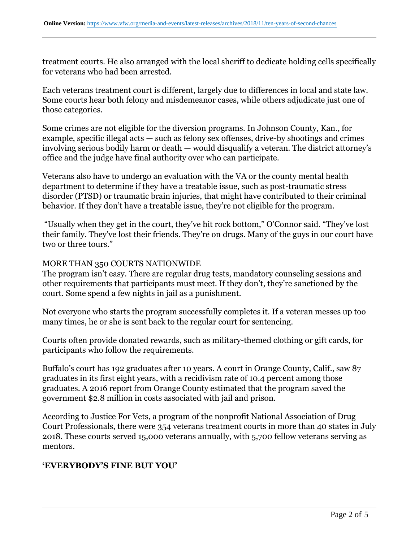treatment courts. He also arranged with the local sheriff to dedicate holding cells specifically for veterans who had been arrested.

Each veterans treatment court is different, largely due to differences in local and state law. Some courts hear both felony and misdemeanor cases, while others adjudicate just one of those categories.

Some crimes are not eligible for the diversion programs. In Johnson County, Kan., for example, specific illegal acts — such as felony sex offenses, drive-by shootings and crimes involving serious bodily harm or death — would disqualify a veteran. The district attorney's office and the judge have final authority over who can participate.

Veterans also have to undergo an evaluation with the VA or the county mental health department to determine if they have a treatable issue, such as post-traumatic stress disorder (PTSD) or traumatic brain injuries, that might have contributed to their criminal behavior. If they don't have a treatable issue, they're not eligible for the program.

 "Usually when they get in the court, they've hit rock bottom," O'Connor said. "They've lost their family. They've lost their friends. They're on drugs. Many of the guys in our court have two or three tours."

#### MORE THAN 350 COURTS NATIONWIDE

The program isn't easy. There are regular drug tests, mandatory counseling sessions and other requirements that participants must meet. If they don't, they're sanctioned by the court. Some spend a few nights in jail as a punishment.

Not everyone who starts the program successfully completes it. If a veteran messes up too many times, he or she is sent back to the regular court for sentencing.

Courts often provide donated rewards, such as military-themed clothing or gift cards, for participants who follow the requirements.

Buffalo's court has 192 graduates after 10 years. A court in Orange County, Calif., saw 87 graduates in its first eight years, with a recidivism rate of 10.4 percent among those graduates. A 2016 report from Orange County estimated that the program saved the government \$2.8 million in costs associated with jail and prison.

According to Justice For Vets, a program of the nonprofit National Association of Drug Court Professionals, there were 354 veterans treatment courts in more than 40 states in July 2018. These courts served 15,000 veterans annually, with 5,700 fellow veterans serving as mentors.

### **'EVERYBODY'S FINE BUT YOU'**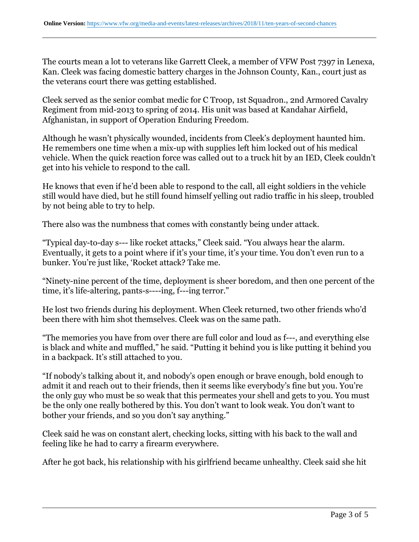The courts mean a lot to veterans like Garrett Cleek, a member of VFW Post 7397 in Lenexa, Kan. Cleek was facing domestic battery charges in the Johnson County, Kan., court just as the veterans court there was getting established.

Cleek served as the senior combat medic for C Troop, 1st Squadron., 2nd Armored Cavalry Regiment from mid-2013 to spring of 2014. His unit was based at Kandahar Airfield, Afghanistan, in support of Operation Enduring Freedom.

Although he wasn't physically wounded, incidents from Cleek's deployment haunted him. He remembers one time when a mix-up with supplies left him locked out of his medical vehicle. When the quick reaction force was called out to a truck hit by an IED, Cleek couldn't get into his vehicle to respond to the call.

He knows that even if he'd been able to respond to the call, all eight soldiers in the vehicle still would have died, but he still found himself yelling out radio traffic in his sleep, troubled by not being able to try to help.

There also was the numbness that comes with constantly being under attack.

"Typical day-to-day s--- like rocket attacks," Cleek said. "You always hear the alarm. Eventually, it gets to a point where if it's your time, it's your time. You don't even run to a bunker. You're just like, 'Rocket attack? Take me.

"Ninety-nine percent of the time, deployment is sheer boredom, and then one percent of the time, it's life-altering, pants-s----ing, f---ing terror."

He lost two friends during his deployment. When Cleek returned, two other friends who'd been there with him shot themselves. Cleek was on the same path.

"The memories you have from over there are full color and loud as f---, and everything else is black and white and muffled," he said. "Putting it behind you is like putting it behind you in a backpack. It's still attached to you.

"If nobody's talking about it, and nobody's open enough or brave enough, bold enough to admit it and reach out to their friends, then it seems like everybody's fine but you. You're the only guy who must be so weak that this permeates your shell and gets to you. You must be the only one really bothered by this. You don't want to look weak. You don't want to bother your friends, and so you don't say anything."

Cleek said he was on constant alert, checking locks, sitting with his back to the wall and feeling like he had to carry a firearm everywhere.

After he got back, his relationship with his girlfriend became unhealthy. Cleek said she hit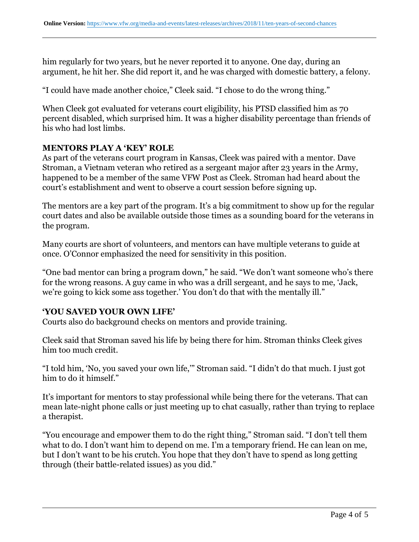him regularly for two years, but he never reported it to anyone. One day, during an argument, he hit her. She did report it, and he was charged with domestic battery, a felony.

"I could have made another choice," Cleek said. "I chose to do the wrong thing."

When Cleek got evaluated for veterans court eligibility, his PTSD classified him as 70 percent disabled, which surprised him. It was a higher disability percentage than friends of his who had lost limbs.

## **MENTORS PLAY A 'KEY' ROLE**

As part of the veterans court program in Kansas, Cleek was paired with a mentor. Dave Stroman, a Vietnam veteran who retired as a sergeant major after 23 years in the Army, happened to be a member of the same VFW Post as Cleek. Stroman had heard about the court's establishment and went to observe a court session before signing up.

The mentors are a key part of the program. It's a big commitment to show up for the regular court dates and also be available outside those times as a sounding board for the veterans in the program.

Many courts are short of volunteers, and mentors can have multiple veterans to guide at once. O'Connor emphasized the need for sensitivity in this position.

"One bad mentor can bring a program down," he said. "We don't want someone who's there for the wrong reasons. A guy came in who was a drill sergeant, and he says to me, 'Jack, we're going to kick some ass together.' You don't do that with the mentally ill."

#### **'YOU SAVED YOUR OWN LIFE'**

Courts also do background checks on mentors and provide training.

Cleek said that Stroman saved his life by being there for him. Stroman thinks Cleek gives him too much credit.

"I told him, 'No, you saved your own life,'" Stroman said. "I didn't do that much. I just got him to do it himself."

It's important for mentors to stay professional while being there for the veterans. That can mean late-night phone calls or just meeting up to chat casually, rather than trying to replace a therapist.

"You encourage and empower them to do the right thing," Stroman said. "I don't tell them what to do. I don't want him to depend on me. I'm a temporary friend. He can lean on me, but I don't want to be his crutch. You hope that they don't have to spend as long getting through (their battle-related issues) as you did."